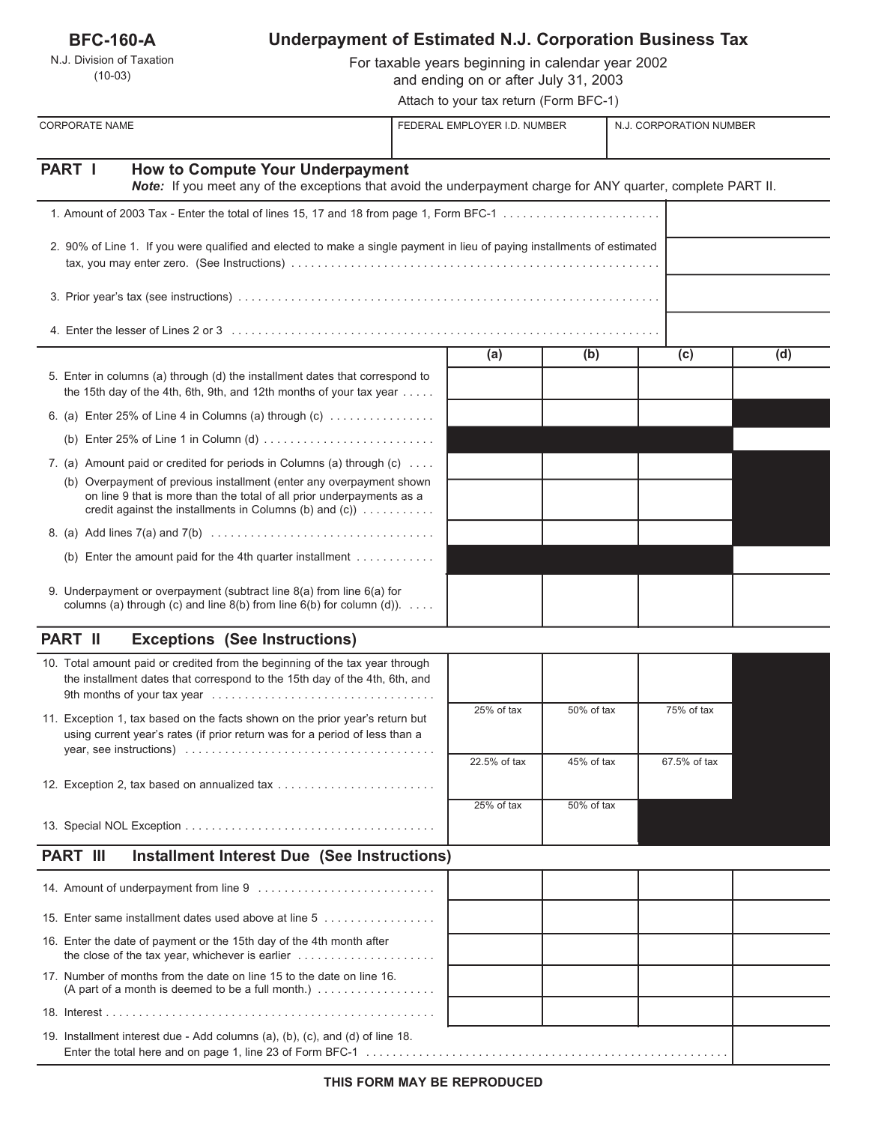| <b>BFC-160-A</b> |  |
|------------------|--|
|------------------|--|

## N.J. Division of Taxation (10-03)

# **Underpayment of Estimated N.J. Corporation Business Tax**

For taxable years beginning in calendar year 2002 and ending on or after July 31, 2003

Attach to your tax return (Form BFC-1)

| <b>CORPORATE NAME</b>                                                                                                                                                                                            | FEDERAL EMPLOYER I.D. NUMBER |            | N.J. CORPORATION NUMBER |     |  |
|------------------------------------------------------------------------------------------------------------------------------------------------------------------------------------------------------------------|------------------------------|------------|-------------------------|-----|--|
| PART I<br><b>How to Compute Your Underpayment</b><br>Note: If you meet any of the exceptions that avoid the underpayment charge for ANY quarter, complete PART II.                                               |                              |            |                         |     |  |
| 1. Amount of 2003 Tax - Enter the total of lines 15, 17 and 18 from page 1, Form BFC-1                                                                                                                           |                              |            |                         |     |  |
| 2. 90% of Line 1. If you were qualified and elected to make a single payment in lieu of paying installments of estimated                                                                                         |                              |            |                         |     |  |
|                                                                                                                                                                                                                  |                              |            |                         |     |  |
|                                                                                                                                                                                                                  |                              |            |                         |     |  |
|                                                                                                                                                                                                                  | (a)                          | (b)        | (c)                     | (d) |  |
| 5. Enter in columns (a) through (d) the installment dates that correspond to<br>the 15th day of the 4th, 6th, 9th, and 12th months of your tax year $\dots$ .                                                    |                              |            |                         |     |  |
| 6. (a) Enter 25% of Line 4 in Columns (a) through (c) $\dots$                                                                                                                                                    |                              |            |                         |     |  |
|                                                                                                                                                                                                                  |                              |            |                         |     |  |
| 7. (a) Amount paid or credited for periods in Columns (a) through (c)                                                                                                                                            |                              |            |                         |     |  |
| (b) Overpayment of previous installment (enter any overpayment shown<br>on line 9 that is more than the total of all prior underpayments as a<br>credit against the installments in Columns (b) and (c)) $\dots$ |                              |            |                         |     |  |
|                                                                                                                                                                                                                  |                              |            |                         |     |  |
| (b) Enter the amount paid for the 4th quarter installment $\dots\dots\dots\dots$                                                                                                                                 |                              |            |                         |     |  |
| 9. Underpayment or overpayment (subtract line 8(a) from line 6(a) for<br>columns (a) through (c) and line $8(b)$ from line $6(b)$ for column (d)).                                                               |                              |            |                         |     |  |
| <b>PART II</b><br><b>Exceptions (See Instructions)</b>                                                                                                                                                           |                              |            |                         |     |  |
| 10. Total amount paid or credited from the beginning of the tax year through<br>the installment dates that correspond to the 15th day of the 4th, 6th, and                                                       |                              |            |                         |     |  |
| 11. Exception 1, tax based on the facts shown on the prior year's return but<br>using current year's rates (if prior return was for a period of less than a                                                      | 25% of tax                   | 50% of tax | 75% of tax              |     |  |
|                                                                                                                                                                                                                  | 22.5% of tax                 | 45% of tax | 67.5% of tax            |     |  |
| 12. Exception 2, tax based on annualized tax                                                                                                                                                                     |                              |            |                         |     |  |
|                                                                                                                                                                                                                  | 25% of tax                   | 50% of tax |                         |     |  |
| <b>Installment Interest Due (See Instructions)</b><br><b>PART III</b>                                                                                                                                            |                              |            |                         |     |  |
|                                                                                                                                                                                                                  |                              |            |                         |     |  |
| 15. Enter same installment dates used above at line 5                                                                                                                                                            |                              |            |                         |     |  |
|                                                                                                                                                                                                                  |                              |            |                         |     |  |
| 16. Enter the date of payment or the 15th day of the 4th month after<br>the close of the tax year, whichever is earlier $\ldots \ldots \ldots \ldots \ldots \ldots$                                              |                              |            |                         |     |  |

17. Number of months from the date on line 15 to the date on line 16. (A part of a month is deemed to be a full month.)  $\dots \dots \dots \dots \dots$ 

19. Installment interest due - Add columns (a), (b), (c), and (d) of line 18. Enter the total here and on page 1, line 23 of Form BFC-1 . . . . . . . . . . . . . . . . . . . . . . . . . . . . . . . . . . . . . . . . . . . . . . . . . . . . . . .

18. Interest . . . . . . . . . . . . . . . . . . . . . . . . . . . . . . . . . . . . . . . . . . . . . . . . . .